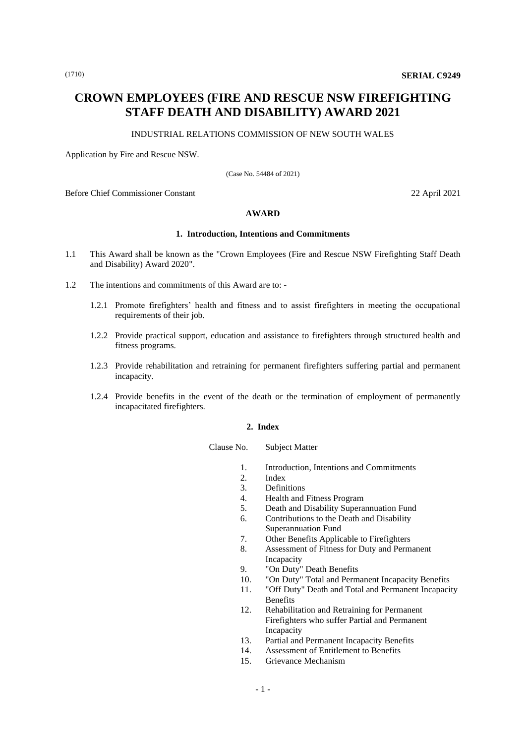# **CROWN EMPLOYEES (FIRE AND RESCUE NSW FIREFIGHTING STAFF DEATH AND DISABILITY) AWARD 2021**

#### INDUSTRIAL RELATIONS COMMISSION OF NEW SOUTH WALES

Application by Fire and Rescue NSW.

(Case No. 54484 of 2021)

Before Chief Commissioner Constant 22 April 2021

#### **AWARD**

### **1. Introduction, Intentions and Commitments**

- 1.1 This Award shall be known as the "Crown Employees (Fire and Rescue NSW Firefighting Staff Death and Disability) Award 2020".
- 1.2 The intentions and commitments of this Award are to:
	- 1.2.1 Promote firefighters' health and fitness and to assist firefighters in meeting the occupational requirements of their job.
	- 1.2.2 Provide practical support, education and assistance to firefighters through structured health and fitness programs.
	- 1.2.3 Provide rehabilitation and retraining for permanent firefighters suffering partial and permanent incapacity.
	- 1.2.4 Provide benefits in the event of the death or the termination of employment of permanently incapacitated firefighters.

#### **2. Index**

Clause No. Subject Matter

- 1. Introduction, Intentions and Commitments
- 2. Index
- 3. Definitions
- 4. Health and Fitness Program
- 5. Death and Disability Superannuation Fund
- 6. Contributions to the Death and Disability
- Superannuation Fund
- 7. Other Benefits Applicable to Firefighters
- 8. Assessment of Fitness for Duty and Permanent Incapacity
- 9. "On Duty" Death Benefits
- 10. "On Duty" Total and Permanent Incapacity Benefits
- 11. "Off Duty" Death and Total and Permanent Incapacity Benefits
- 12. Rehabilitation and Retraining for Permanent Firefighters who suffer Partial and Permanent Incapacity
- 13. Partial and Permanent Incapacity Benefits
- 14. Assessment of Entitlement to Benefits
- 15. Grievance Mechanism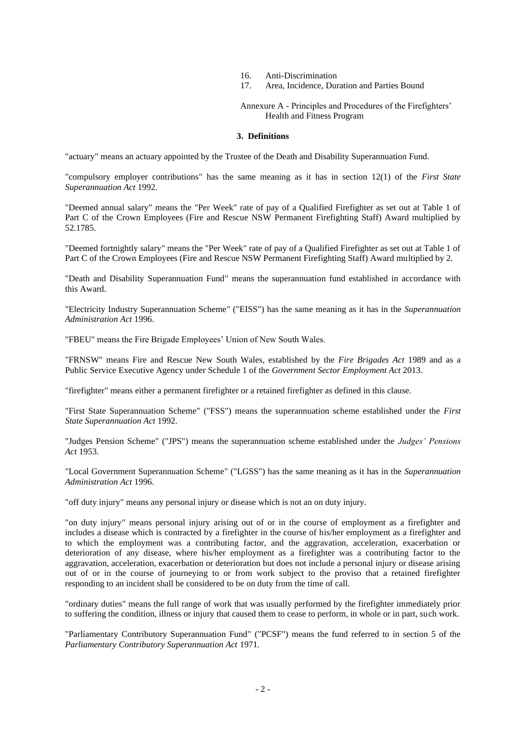- 16. Anti-Discrimination
- 17. Area, Incidence, Duration and Parties Bound

Annexure A - Principles and Procedures of the Firefighters' Health and Fitness Program

#### **3. Definitions**

"actuary" means an actuary appointed by the Trustee of the Death and Disability Superannuation Fund.

"compulsory employer contributions" has the same meaning as it has in section 12(1) of the *First State Superannuation Act* 1992.

"Deemed annual salary" means the "Per Week" rate of pay of a Qualified Firefighter as set out at Table 1 of Part C of the Crown Employees (Fire and Rescue NSW Permanent Firefighting Staff) Award multiplied by 52.1785.

"Deemed fortnightly salary" means the "Per Week" rate of pay of a Qualified Firefighter as set out at Table 1 of Part C of the Crown Employees (Fire and Rescue NSW Permanent Firefighting Staff) Award multiplied by 2.

"Death and Disability Superannuation Fund" means the superannuation fund established in accordance with this Award.

"Electricity Industry Superannuation Scheme" ("EISS") has the same meaning as it has in the *Superannuation Administration Act* 1996.

"FBEU" means the Fire Brigade Employees' Union of New South Wales.

"FRNSW" means Fire and Rescue New South Wales, established by the *Fire Brigades Act* 1989 and as a Public Service Executive Agency under Schedule 1 of the *Government Sector Employment Act* 2013.

"firefighter" means either a permanent firefighter or a retained firefighter as defined in this clause.

"First State Superannuation Scheme" ("FSS") means the superannuation scheme established under the *First State Superannuation Act* 1992.

"Judges Pension Scheme" ("JPS") means the superannuation scheme established under the *Judges' Pensions Act* 1953.

"Local Government Superannuation Scheme" ("LGSS") has the same meaning as it has in the *Superannuation Administration Act* 1996.

"off duty injury" means any personal injury or disease which is not an on duty injury.

"on duty injury" means personal injury arising out of or in the course of employment as a firefighter and includes a disease which is contracted by a firefighter in the course of his/her employment as a firefighter and to which the employment was a contributing factor, and the aggravation, acceleration, exacerbation or deterioration of any disease, where his/her employment as a firefighter was a contributing factor to the aggravation, acceleration, exacerbation or deterioration but does not include a personal injury or disease arising out of or in the course of journeying to or from work subject to the proviso that a retained firefighter responding to an incident shall be considered to be on duty from the time of call.

"ordinary duties" means the full range of work that was usually performed by the firefighter immediately prior to suffering the condition, illness or injury that caused them to cease to perform, in whole or in part, such work.

"Parliamentary Contributory Superannuation Fund" ("PCSF") means the fund referred to in section 5 of the *Parliamentary Contributory Superannuation Act* 1971.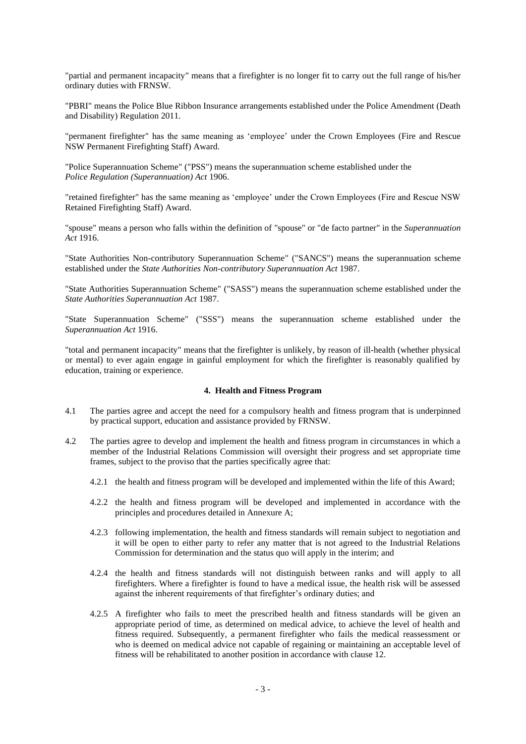"partial and permanent incapacity" means that a firefighter is no longer fit to carry out the full range of his/her ordinary duties with FRNSW.

"PBRI" means the Police Blue Ribbon Insurance arrangements established under the Police Amendment (Death and Disability) Regulation 2011.

"permanent firefighter" has the same meaning as 'employee' under the Crown Employees (Fire and Rescue NSW Permanent Firefighting Staff) Award.

"Police Superannuation Scheme" ("PSS") means the superannuation scheme established under the *Police Regulation (Superannuation) Act* 1906.

"retained firefighter" has the same meaning as 'employee' under the Crown Employees (Fire and Rescue NSW Retained Firefighting Staff) Award.

"spouse" means a person who falls within the definition of "spouse" or "de facto partner" in the *Superannuation Act* 1916.

"State Authorities Non-contributory Superannuation Scheme" ("SANCS") means the superannuation scheme established under the *State Authorities Non-contributory Superannuation Act* 1987.

"State Authorities Superannuation Scheme" ("SASS") means the superannuation scheme established under the *State Authorities Superannuation Act* 1987.

"State Superannuation Scheme" ("SSS") means the superannuation scheme established under the *Superannuation Act* 1916.

"total and permanent incapacity" means that the firefighter is unlikely, by reason of ill-health (whether physical or mental) to ever again engage in gainful employment for which the firefighter is reasonably qualified by education, training or experience.

### **4. Health and Fitness Program**

- 4.1 The parties agree and accept the need for a compulsory health and fitness program that is underpinned by practical support, education and assistance provided by FRNSW.
- 4.2 The parties agree to develop and implement the health and fitness program in circumstances in which a member of the Industrial Relations Commission will oversight their progress and set appropriate time frames, subject to the proviso that the parties specifically agree that:
	- 4.2.1 the health and fitness program will be developed and implemented within the life of this Award;
	- 4.2.2 the health and fitness program will be developed and implemented in accordance with the principles and procedures detailed in Annexure A;
	- 4.2.3 following implementation, the health and fitness standards will remain subject to negotiation and it will be open to either party to refer any matter that is not agreed to the Industrial Relations Commission for determination and the status quo will apply in the interim; and
	- 4.2.4 the health and fitness standards will not distinguish between ranks and will apply to all firefighters. Where a firefighter is found to have a medical issue, the health risk will be assessed against the inherent requirements of that firefighter's ordinary duties; and
	- 4.2.5 A firefighter who fails to meet the prescribed health and fitness standards will be given an appropriate period of time, as determined on medical advice, to achieve the level of health and fitness required. Subsequently, a permanent firefighter who fails the medical reassessment or who is deemed on medical advice not capable of regaining or maintaining an acceptable level of fitness will be rehabilitated to another position in accordance with clause 12.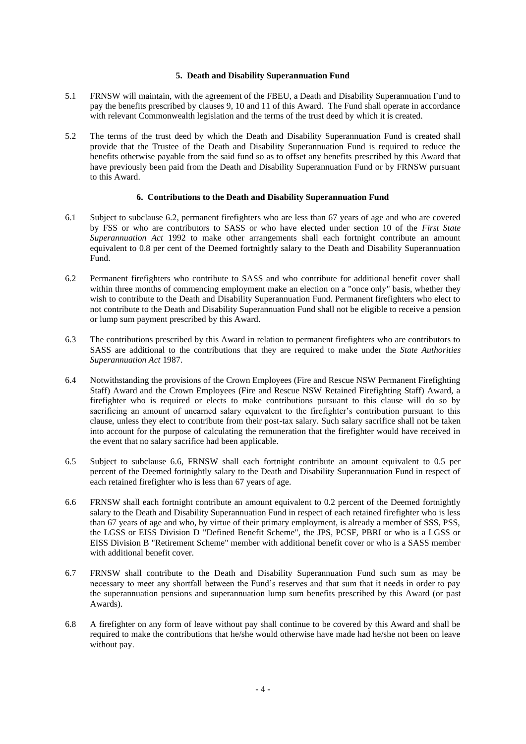## **5. Death and Disability Superannuation Fund**

- 5.1 FRNSW will maintain, with the agreement of the FBEU, a Death and Disability Superannuation Fund to pay the benefits prescribed by clauses 9, 10 and 11 of this Award. The Fund shall operate in accordance with relevant Commonwealth legislation and the terms of the trust deed by which it is created.
- 5.2 The terms of the trust deed by which the Death and Disability Superannuation Fund is created shall provide that the Trustee of the Death and Disability Superannuation Fund is required to reduce the benefits otherwise payable from the said fund so as to offset any benefits prescribed by this Award that have previously been paid from the Death and Disability Superannuation Fund or by FRNSW pursuant to this Award.

#### **6. Contributions to the Death and Disability Superannuation Fund**

- 6.1 Subject to subclause 6.2, permanent firefighters who are less than 67 years of age and who are covered by FSS or who are contributors to SASS or who have elected under section 10 of the *First State Superannuation Act* 1992 to make other arrangements shall each fortnight contribute an amount equivalent to 0.8 per cent of the Deemed fortnightly salary to the Death and Disability Superannuation Fund.
- 6.2 Permanent firefighters who contribute to SASS and who contribute for additional benefit cover shall within three months of commencing employment make an election on a "once only" basis, whether they wish to contribute to the Death and Disability Superannuation Fund. Permanent firefighters who elect to not contribute to the Death and Disability Superannuation Fund shall not be eligible to receive a pension or lump sum payment prescribed by this Award.
- 6.3 The contributions prescribed by this Award in relation to permanent firefighters who are contributors to SASS are additional to the contributions that they are required to make under the *State Authorities Superannuation Act* 1987.
- 6.4 Notwithstanding the provisions of the Crown Employees (Fire and Rescue NSW Permanent Firefighting Staff) Award and the Crown Employees (Fire and Rescue NSW Retained Firefighting Staff) Award, a firefighter who is required or elects to make contributions pursuant to this clause will do so by sacrificing an amount of unearned salary equivalent to the firefighter's contribution pursuant to this clause, unless they elect to contribute from their post-tax salary. Such salary sacrifice shall not be taken into account for the purpose of calculating the remuneration that the firefighter would have received in the event that no salary sacrifice had been applicable.
- 6.5 Subject to subclause 6.6, FRNSW shall each fortnight contribute an amount equivalent to 0.5 per percent of the Deemed fortnightly salary to the Death and Disability Superannuation Fund in respect of each retained firefighter who is less than 67 years of age.
- 6.6 FRNSW shall each fortnight contribute an amount equivalent to 0.2 percent of the Deemed fortnightly salary to the Death and Disability Superannuation Fund in respect of each retained firefighter who is less than 67 years of age and who, by virtue of their primary employment, is already a member of SSS, PSS, the LGSS or EISS Division D "Defined Benefit Scheme", the JPS, PCSF, PBRI or who is a LGSS or EISS Division B "Retirement Scheme" member with additional benefit cover or who is a SASS member with additional benefit cover.
- 6.7 FRNSW shall contribute to the Death and Disability Superannuation Fund such sum as may be necessary to meet any shortfall between the Fund's reserves and that sum that it needs in order to pay the superannuation pensions and superannuation lump sum benefits prescribed by this Award (or past Awards).
- 6.8 A firefighter on any form of leave without pay shall continue to be covered by this Award and shall be required to make the contributions that he/she would otherwise have made had he/she not been on leave without pay.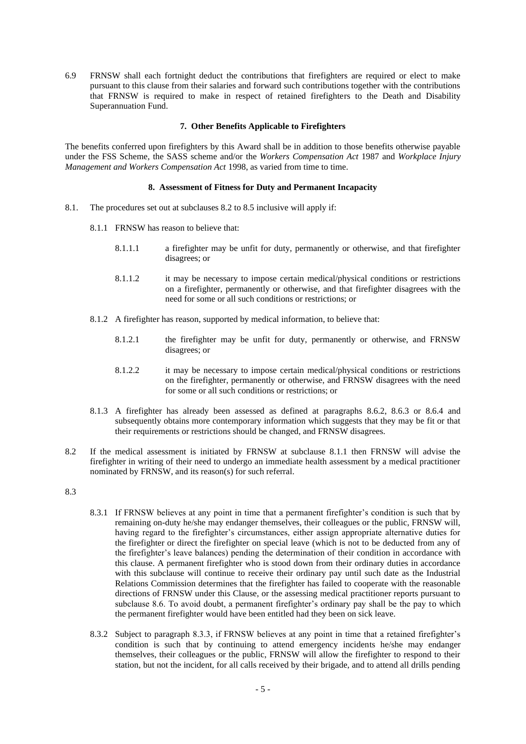6.9 FRNSW shall each fortnight deduct the contributions that firefighters are required or elect to make pursuant to this clause from their salaries and forward such contributions together with the contributions that FRNSW is required to make in respect of retained firefighters to the Death and Disability Superannuation Fund.

# **7. Other Benefits Applicable to Firefighters**

The benefits conferred upon firefighters by this Award shall be in addition to those benefits otherwise payable under the FSS Scheme, the SASS scheme and/or the *Workers Compensation Act* 1987 and *Workplace Injury Management and Workers Compensation Act* 1998, as varied from time to time.

#### **8. Assessment of Fitness for Duty and Permanent Incapacity**

- 8.1. The procedures set out at subclauses 8.2 to 8.5 inclusive will apply if:
	- 8.1.1 FRNSW has reason to believe that:
		- 8.1.1.1 a firefighter may be unfit for duty, permanently or otherwise, and that firefighter disagrees; or
		- 8.1.1.2 it may be necessary to impose certain medical/physical conditions or restrictions on a firefighter, permanently or otherwise, and that firefighter disagrees with the need for some or all such conditions or restrictions; or
	- 8.1.2 A firefighter has reason, supported by medical information, to believe that:
		- 8.1.2.1 the firefighter may be unfit for duty, permanently or otherwise, and FRNSW disagrees; or
		- 8.1.2.2 it may be necessary to impose certain medical/physical conditions or restrictions on the firefighter, permanently or otherwise, and FRNSW disagrees with the need for some or all such conditions or restrictions; or
	- 8.1.3 A firefighter has already been assessed as defined at paragraphs 8.6.2, 8.6.3 or 8.6.4 and subsequently obtains more contemporary information which suggests that they may be fit or that their requirements or restrictions should be changed, and FRNSW disagrees.
- 8.2 If the medical assessment is initiated by FRNSW at subclause 8.1.1 then FRNSW will advise the firefighter in writing of their need to undergo an immediate health assessment by a medical practitioner nominated by FRNSW, and its reason(s) for such referral.
- 8.3
- 8.3.1 If FRNSW believes at any point in time that a permanent firefighter's condition is such that by remaining on-duty he/she may endanger themselves, their colleagues or the public, FRNSW will, having regard to the firefighter's circumstances, either assign appropriate alternative duties for the firefighter or direct the firefighter on special leave (which is not to be deducted from any of the firefighter's leave balances) pending the determination of their condition in accordance with this clause. A permanent firefighter who is stood down from their ordinary duties in accordance with this subclause will continue to receive their ordinary pay until such date as the Industrial Relations Commission determines that the firefighter has failed to cooperate with the reasonable directions of FRNSW under this Clause, or the assessing medical practitioner reports pursuant to subclause 8.6. To avoid doubt, a permanent firefighter's ordinary pay shall be the pay to which the permanent firefighter would have been entitled had they been on sick leave.
- 8.3.2 Subject to paragraph 8.3.3, if FRNSW believes at any point in time that a retained firefighter's condition is such that by continuing to attend emergency incidents he/she may endanger themselves, their colleagues or the public, FRNSW will allow the firefighter to respond to their station, but not the incident, for all calls received by their brigade, and to attend all drills pending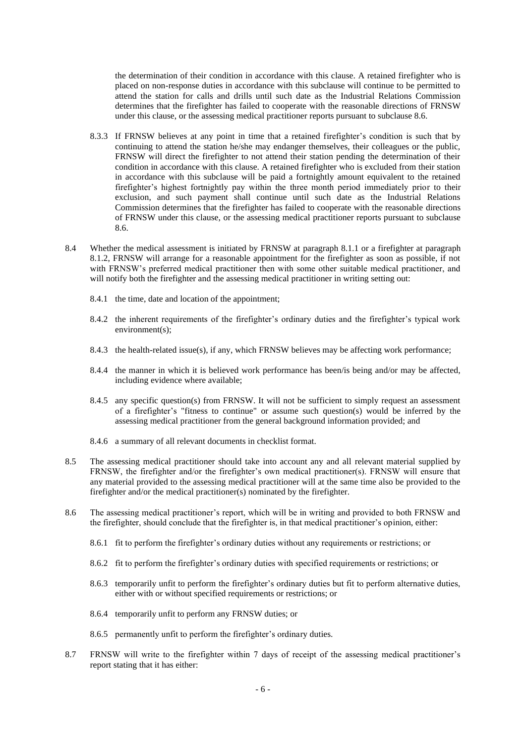the determination of their condition in accordance with this clause. A retained firefighter who is placed on non-response duties in accordance with this subclause will continue to be permitted to attend the station for calls and drills until such date as the Industrial Relations Commission determines that the firefighter has failed to cooperate with the reasonable directions of FRNSW under this clause, or the assessing medical practitioner reports pursuant to subclause 8.6.

- 8.3.3 If FRNSW believes at any point in time that a retained firefighter's condition is such that by continuing to attend the station he/she may endanger themselves, their colleagues or the public, FRNSW will direct the firefighter to not attend their station pending the determination of their condition in accordance with this clause. A retained firefighter who is excluded from their station in accordance with this subclause will be paid a fortnightly amount equivalent to the retained firefighter's highest fortnightly pay within the three month period immediately prior to their exclusion, and such payment shall continue until such date as the Industrial Relations Commission determines that the firefighter has failed to cooperate with the reasonable directions of FRNSW under this clause, or the assessing medical practitioner reports pursuant to subclause 8.6.
- 8.4 Whether the medical assessment is initiated by FRNSW at paragraph 8.1.1 or a firefighter at paragraph 8.1.2, FRNSW will arrange for a reasonable appointment for the firefighter as soon as possible, if not with FRNSW's preferred medical practitioner then with some other suitable medical practitioner, and will notify both the firefighter and the assessing medical practitioner in writing setting out:
	- 8.4.1 the time, date and location of the appointment;
	- 8.4.2 the inherent requirements of the firefighter's ordinary duties and the firefighter's typical work environment(s);
	- 8.4.3 the health-related issue(s), if any, which FRNSW believes may be affecting work performance;
	- 8.4.4 the manner in which it is believed work performance has been/is being and/or may be affected, including evidence where available;
	- 8.4.5 any specific question(s) from FRNSW. It will not be sufficient to simply request an assessment of a firefighter's "fitness to continue" or assume such question(s) would be inferred by the assessing medical practitioner from the general background information provided; and
	- 8.4.6 a summary of all relevant documents in checklist format.
- 8.5 The assessing medical practitioner should take into account any and all relevant material supplied by FRNSW, the firefighter and/or the firefighter's own medical practitioner(s). FRNSW will ensure that any material provided to the assessing medical practitioner will at the same time also be provided to the firefighter and/or the medical practitioner(s) nominated by the firefighter.
- 8.6 The assessing medical practitioner's report, which will be in writing and provided to both FRNSW and the firefighter, should conclude that the firefighter is, in that medical practitioner's opinion, either:
	- 8.6.1 fit to perform the firefighter's ordinary duties without any requirements or restrictions; or
	- 8.6.2 fit to perform the firefighter's ordinary duties with specified requirements or restrictions; or
	- 8.6.3 temporarily unfit to perform the firefighter's ordinary duties but fit to perform alternative duties, either with or without specified requirements or restrictions; or
	- 8.6.4 temporarily unfit to perform any FRNSW duties; or
	- 8.6.5 permanently unfit to perform the firefighter's ordinary duties.
- 8.7 FRNSW will write to the firefighter within 7 days of receipt of the assessing medical practitioner's report stating that it has either: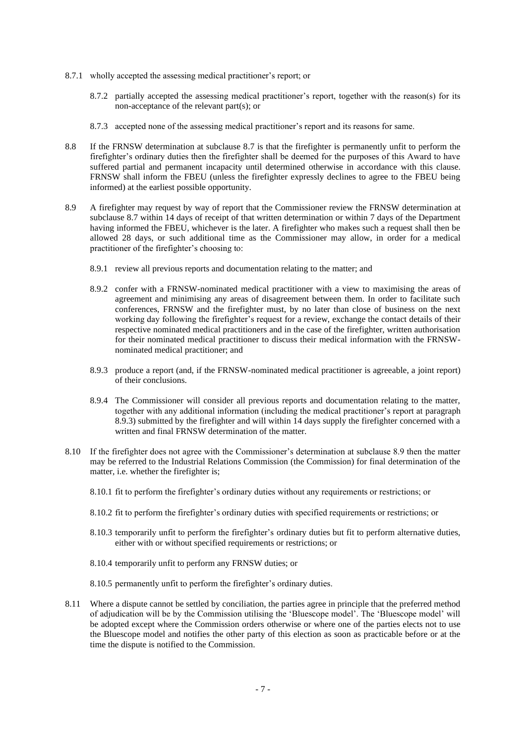- 8.7.1 wholly accepted the assessing medical practitioner's report; or
	- 8.7.2 partially accepted the assessing medical practitioner's report, together with the reason(s) for its non-acceptance of the relevant part(s); or
	- 8.7.3 accepted none of the assessing medical practitioner's report and its reasons for same.
- 8.8 If the FRNSW determination at subclause 8.7 is that the firefighter is permanently unfit to perform the firefighter's ordinary duties then the firefighter shall be deemed for the purposes of this Award to have suffered partial and permanent incapacity until determined otherwise in accordance with this clause. FRNSW shall inform the FBEU (unless the firefighter expressly declines to agree to the FBEU being informed) at the earliest possible opportunity.
- 8.9 A firefighter may request by way of report that the Commissioner review the FRNSW determination at subclause 8.7 within 14 days of receipt of that written determination or within 7 days of the Department having informed the FBEU, whichever is the later. A firefighter who makes such a request shall then be allowed 28 days, or such additional time as the Commissioner may allow, in order for a medical practitioner of the firefighter's choosing to:
	- 8.9.1 review all previous reports and documentation relating to the matter; and
	- 8.9.2 confer with a FRNSW-nominated medical practitioner with a view to maximising the areas of agreement and minimising any areas of disagreement between them. In order to facilitate such conferences, FRNSW and the firefighter must, by no later than close of business on the next working day following the firefighter's request for a review, exchange the contact details of their respective nominated medical practitioners and in the case of the firefighter, written authorisation for their nominated medical practitioner to discuss their medical information with the FRNSWnominated medical practitioner; and
	- 8.9.3 produce a report (and, if the FRNSW-nominated medical practitioner is agreeable, a joint report) of their conclusions.
	- 8.9.4 The Commissioner will consider all previous reports and documentation relating to the matter, together with any additional information (including the medical practitioner's report at paragraph 8.9.3) submitted by the firefighter and will within 14 days supply the firefighter concerned with a written and final FRNSW determination of the matter.
- 8.10 If the firefighter does not agree with the Commissioner's determination at subclause 8.9 then the matter may be referred to the Industrial Relations Commission (the Commission) for final determination of the matter, i.e. whether the firefighter is;
	- 8.10.1 fit to perform the firefighter's ordinary duties without any requirements or restrictions; or
	- 8.10.2 fit to perform the firefighter's ordinary duties with specified requirements or restrictions; or
	- 8.10.3 temporarily unfit to perform the firefighter's ordinary duties but fit to perform alternative duties, either with or without specified requirements or restrictions; or
	- 8.10.4 temporarily unfit to perform any FRNSW duties; or
	- 8.10.5 permanently unfit to perform the firefighter's ordinary duties.
- 8.11 Where a dispute cannot be settled by conciliation, the parties agree in principle that the preferred method of adjudication will be by the Commission utilising the 'Bluescope model'. The 'Bluescope model' will be adopted except where the Commission orders otherwise or where one of the parties elects not to use the Bluescope model and notifies the other party of this election as soon as practicable before or at the time the dispute is notified to the Commission.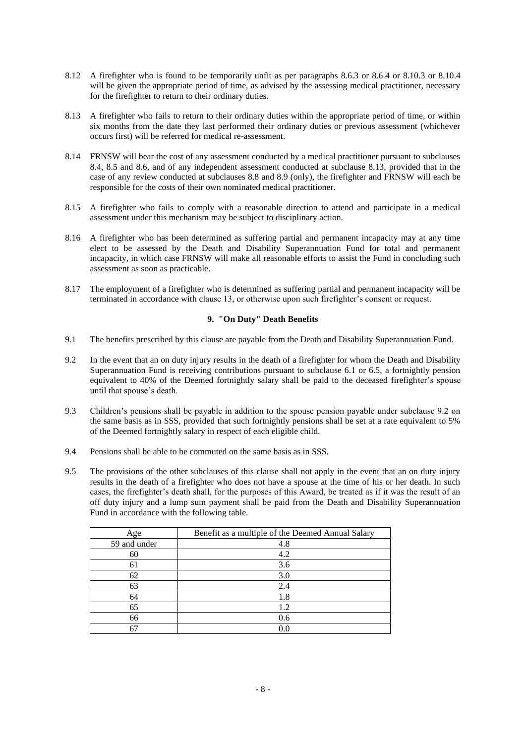- 8.12 A firefighter who is found to be temporarily unfit as per paragraphs 8.6.3 or 8.6.4 or 8.10.3 or 8.10.4 will be given the appropriate period of time, as advised by the assessing medical practitioner, necessary for the firefighter to return to their ordinary duties.
- 8.13 A firefighter who fails to return to their ordinary duties within the appropriate period of time, or within six months from the date they last performed their ordinary duties or previous assessment (whichever occurs first) will be referred for medical re-assessment.
- 8.14 FRNSW will bear the cost of any assessment conducted by a medical practitioner pursuant to subclauses 8.4, 8.5 and 8.6, and of any independent assessment conducted at subclause 8.13, provided that in the case of any review conducted at subclauses 8.8 and 8.9 (only), the firefighter and FRNSW will each be responsible for the costs of their own nominated medical practitioner.
- 8.15 A firefighter who fails to comply with a reasonable direction to attend and participate in a medical assessment under this mechanism may be subject to disciplinary action.
- 8.16 A firefighter who has been determined as suffering partial and permanent incapacity may at any time elect to be assessed by the Death and Disability Superannuation Fund for total and permanent incapacity, in which case FRNSW will make all reasonable efforts to assist the Fund in concluding such assessment as soon as practicable.
- 8.17 The employment of a firefighter who is determined as suffering partial and permanent incapacity will be terminated in accordance with clause 13, or otherwise upon such firefighter's consent or request.

# **9. "On Duty" Death Benefits**

- 9.1 The benefits prescribed by this clause are payable from the Death and Disability Superannuation Fund.
- 9.2 In the event that an on duty injury results in the death of a firefighter for whom the Death and Disability Superannuation Fund is receiving contributions pursuant to subclause 6.1 or 6.5, a fortnightly pension equivalent to 40% of the Deemed fortnightly salary shall be paid to the deceased firefighter's spouse until that spouse's death.
- 9.3 Children's pensions shall be payable in addition to the spouse pension payable under subclause 9.2 on the same basis as in SSS, provided that such fortnightly pensions shall be set at a rate equivalent to 5% of the Deemed fortnightly salary in respect of each eligible child.
- 9.4 Pensions shall be able to be commuted on the same basis as in SSS.
- 9.5 The provisions of the other subclauses of this clause shall not apply in the event that an on duty injury results in the death of a firefighter who does not have a spouse at the time of his or her death. In such cases, the firefighter's death shall, for the purposes of this Award, be treated as if it was the result of an off duty injury and a lump sum payment shall be paid from the Death and Disability Superannuation Fund in accordance with the following table.

| Age          | Benefit as a multiple of the Deemed Annual Salary |
|--------------|---------------------------------------------------|
| 59 and under | 4.8                                               |
| 60           | 4.2                                               |
| 61           | 3.6                                               |
| 62           | 3.0                                               |
| 63           | 2.4                                               |
| 64           | 1.8                                               |
| 65           | 1.2                                               |
| 66           | 0.6                                               |
|              | 0.0                                               |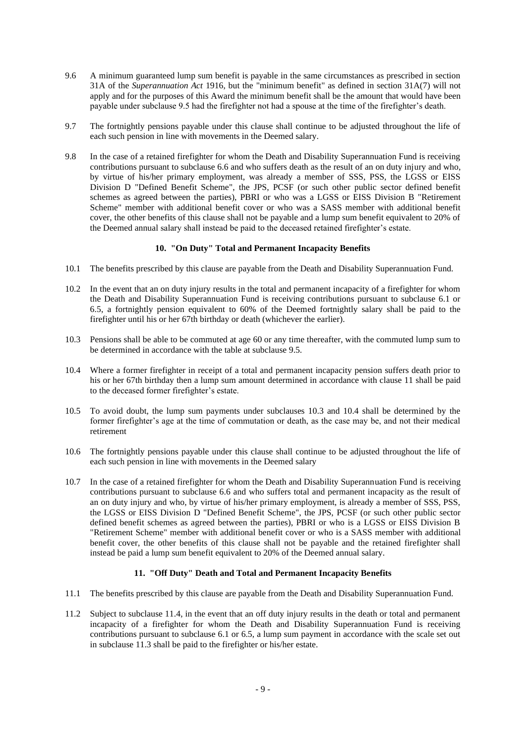- 9.6 A minimum guaranteed lump sum benefit is payable in the same circumstances as prescribed in section 31A of the *Superannuation Act* 1916, but the "minimum benefit" as defined in section 31A(7) will not apply and for the purposes of this Award the minimum benefit shall be the amount that would have been payable under subclause 9.5 had the firefighter not had a spouse at the time of the firefighter's death.
- 9.7 The fortnightly pensions payable under this clause shall continue to be adjusted throughout the life of each such pension in line with movements in the Deemed salary.
- 9.8 In the case of a retained firefighter for whom the Death and Disability Superannuation Fund is receiving contributions pursuant to subclause 6.6 and who suffers death as the result of an on duty injury and who, by virtue of his/her primary employment, was already a member of SSS, PSS, the LGSS or EISS Division D "Defined Benefit Scheme", the JPS, PCSF (or such other public sector defined benefit schemes as agreed between the parties), PBRI or who was a LGSS or EISS Division B "Retirement Scheme" member with additional benefit cover or who was a SASS member with additional benefit cover, the other benefits of this clause shall not be payable and a lump sum benefit equivalent to 20% of the Deemed annual salary shall instead be paid to the deceased retained firefighter's estate.

#### **10. "On Duty" Total and Permanent Incapacity Benefits**

- 10.1 The benefits prescribed by this clause are payable from the Death and Disability Superannuation Fund.
- 10.2 In the event that an on duty injury results in the total and permanent incapacity of a firefighter for whom the Death and Disability Superannuation Fund is receiving contributions pursuant to subclause 6.1 or 6.5, a fortnightly pension equivalent to 60% of the Deemed fortnightly salary shall be paid to the firefighter until his or her 67th birthday or death (whichever the earlier).
- 10.3 Pensions shall be able to be commuted at age 60 or any time thereafter, with the commuted lump sum to be determined in accordance with the table at subclause 9.5.
- 10.4 Where a former firefighter in receipt of a total and permanent incapacity pension suffers death prior to his or her 67th birthday then a lump sum amount determined in accordance with clause 11 shall be paid to the deceased former firefighter's estate.
- 10.5 To avoid doubt, the lump sum payments under subclauses 10.3 and 10.4 shall be determined by the former firefighter's age at the time of commutation or death, as the case may be, and not their medical retirement
- 10.6 The fortnightly pensions payable under this clause shall continue to be adjusted throughout the life of each such pension in line with movements in the Deemed salary
- 10.7 In the case of a retained firefighter for whom the Death and Disability Superannuation Fund is receiving contributions pursuant to subclause 6.6 and who suffers total and permanent incapacity as the result of an on duty injury and who, by virtue of his/her primary employment, is already a member of SSS, PSS, the LGSS or EISS Division D "Defined Benefit Scheme", the JPS, PCSF (or such other public sector defined benefit schemes as agreed between the parties), PBRI or who is a LGSS or EISS Division B "Retirement Scheme" member with additional benefit cover or who is a SASS member with additional benefit cover, the other benefits of this clause shall not be payable and the retained firefighter shall instead be paid a lump sum benefit equivalent to 20% of the Deemed annual salary.

## **11. "Off Duty" Death and Total and Permanent Incapacity Benefits**

- 11.1 The benefits prescribed by this clause are payable from the Death and Disability Superannuation Fund.
- 11.2 Subject to subclause 11.4, in the event that an off duty injury results in the death or total and permanent incapacity of a firefighter for whom the Death and Disability Superannuation Fund is receiving contributions pursuant to subclause 6.1 or 6.5, a lump sum payment in accordance with the scale set out in subclause 11.3 shall be paid to the firefighter or his/her estate.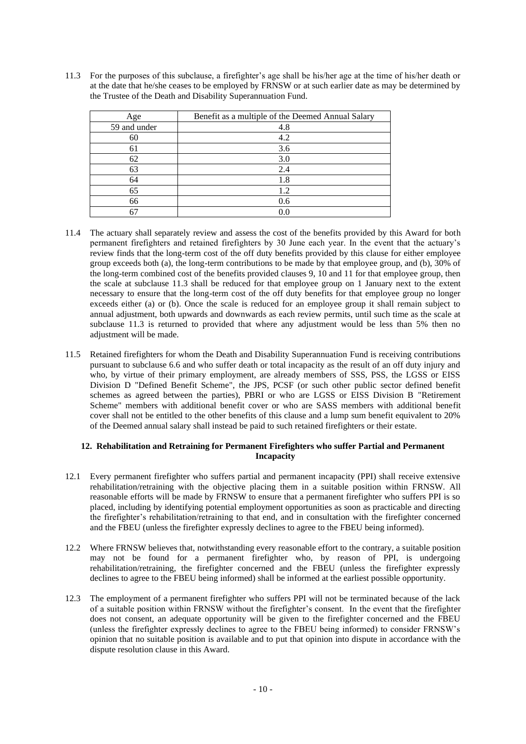11.3 For the purposes of this subclause, a firefighter's age shall be his/her age at the time of his/her death or at the date that he/she ceases to be employed by FRNSW or at such earlier date as may be determined by the Trustee of the Death and Disability Superannuation Fund.

| Age          | Benefit as a multiple of the Deemed Annual Salary |
|--------------|---------------------------------------------------|
| 59 and under | 4.8                                               |
| 60           | 4.2                                               |
| 61           | 3.6                                               |
| 62           | 3.0                                               |
| 63           | 2.4                                               |
| 64           | 1.8                                               |
| 65           | 1.2                                               |
| 66           | 0.6                                               |
| 67           | 0.0                                               |

- 11.4 The actuary shall separately review and assess the cost of the benefits provided by this Award for both permanent firefighters and retained firefighters by 30 June each year. In the event that the actuary's review finds that the long-term cost of the off duty benefits provided by this clause for either employee group exceeds both (a), the long-term contributions to be made by that employee group, and (b), 30% of the long-term combined cost of the benefits provided clauses 9, 10 and 11 for that employee group, then the scale at subclause 11.3 shall be reduced for that employee group on 1 January next to the extent necessary to ensure that the long-term cost of the off duty benefits for that employee group no longer exceeds either (a) or (b). Once the scale is reduced for an employee group it shall remain subject to annual adjustment, both upwards and downwards as each review permits, until such time as the scale at subclause 11.3 is returned to provided that where any adjustment would be less than 5% then no adjustment will be made.
- 11.5 Retained firefighters for whom the Death and Disability Superannuation Fund is receiving contributions pursuant to subclause 6.6 and who suffer death or total incapacity as the result of an off duty injury and who, by virtue of their primary employment, are already members of SSS, PSS, the LGSS or EISS Division D "Defined Benefit Scheme", the JPS, PCSF (or such other public sector defined benefit schemes as agreed between the parties), PBRI or who are LGSS or EISS Division B "Retirement Scheme" members with additional benefit cover or who are SASS members with additional benefit cover shall not be entitled to the other benefits of this clause and a lump sum benefit equivalent to 20% of the Deemed annual salary shall instead be paid to such retained firefighters or their estate.

## **12. Rehabilitation and Retraining for Permanent Firefighters who suffer Partial and Permanent Incapacity**

- 12.1 Every permanent firefighter who suffers partial and permanent incapacity (PPI) shall receive extensive rehabilitation/retraining with the objective placing them in a suitable position within FRNSW. All reasonable efforts will be made by FRNSW to ensure that a permanent firefighter who suffers PPI is so placed, including by identifying potential employment opportunities as soon as practicable and directing the firefighter's rehabilitation/retraining to that end, and in consultation with the firefighter concerned and the FBEU (unless the firefighter expressly declines to agree to the FBEU being informed).
- 12.2 Where FRNSW believes that, notwithstanding every reasonable effort to the contrary, a suitable position may not be found for a permanent firefighter who, by reason of PPI, is undergoing rehabilitation/retraining, the firefighter concerned and the FBEU (unless the firefighter expressly declines to agree to the FBEU being informed) shall be informed at the earliest possible opportunity.
- 12.3 The employment of a permanent firefighter who suffers PPI will not be terminated because of the lack of a suitable position within FRNSW without the firefighter's consent. In the event that the firefighter does not consent, an adequate opportunity will be given to the firefighter concerned and the FBEU (unless the firefighter expressly declines to agree to the FBEU being informed) to consider FRNSW's opinion that no suitable position is available and to put that opinion into dispute in accordance with the dispute resolution clause in this Award.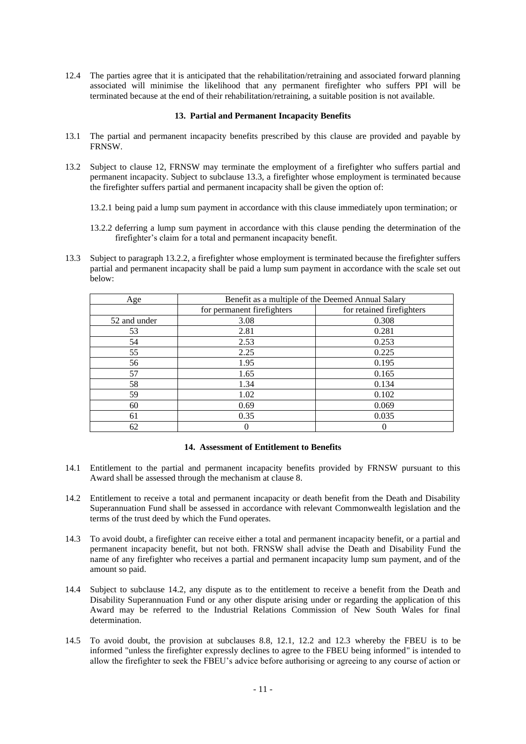12.4 The parties agree that it is anticipated that the rehabilitation/retraining and associated forward planning associated will minimise the likelihood that any permanent firefighter who suffers PPI will be terminated because at the end of their rehabilitation/retraining, a suitable position is not available.

#### **13. Partial and Permanent Incapacity Benefits**

- 13.1 The partial and permanent incapacity benefits prescribed by this clause are provided and payable by FRNSW.
- 13.2 Subject to clause 12, FRNSW may terminate the employment of a firefighter who suffers partial and permanent incapacity. Subject to subclause 13.3, a firefighter whose employment is terminated because the firefighter suffers partial and permanent incapacity shall be given the option of:
	- 13.2.1 being paid a lump sum payment in accordance with this clause immediately upon termination; or
	- 13.2.2 deferring a lump sum payment in accordance with this clause pending the determination of the firefighter's claim for a total and permanent incapacity benefit.
- 13.3 Subject to paragraph 13.2.2, a firefighter whose employment is terminated because the firefighter suffers partial and permanent incapacity shall be paid a lump sum payment in accordance with the scale set out below:

| Age          | Benefit as a multiple of the Deemed Annual Salary |                           |  |
|--------------|---------------------------------------------------|---------------------------|--|
|              | for permanent firefighters                        | for retained firefighters |  |
| 52 and under | 3.08                                              | 0.308                     |  |
| 53           | 2.81                                              | 0.281                     |  |
| 54           | 2.53                                              | 0.253                     |  |
| 55           | 2.25                                              | 0.225                     |  |
| 56           | 1.95                                              | 0.195                     |  |
| 57           | 1.65                                              | 0.165                     |  |
| 58           | 1.34                                              | 0.134                     |  |
| 59           | 1.02                                              | 0.102                     |  |
| 60           | 0.69                                              | 0.069                     |  |
| 61           | 0.35                                              | 0.035                     |  |
| 62           |                                                   | $\left( \right)$          |  |

#### **14. Assessment of Entitlement to Benefits**

- 14.1 Entitlement to the partial and permanent incapacity benefits provided by FRNSW pursuant to this Award shall be assessed through the mechanism at clause 8.
- 14.2 Entitlement to receive a total and permanent incapacity or death benefit from the Death and Disability Superannuation Fund shall be assessed in accordance with relevant Commonwealth legislation and the terms of the trust deed by which the Fund operates.
- 14.3 To avoid doubt, a firefighter can receive either a total and permanent incapacity benefit, or a partial and permanent incapacity benefit, but not both. FRNSW shall advise the Death and Disability Fund the name of any firefighter who receives a partial and permanent incapacity lump sum payment, and of the amount so paid.
- 14.4 Subject to subclause 14.2, any dispute as to the entitlement to receive a benefit from the Death and Disability Superannuation Fund or any other dispute arising under or regarding the application of this Award may be referred to the Industrial Relations Commission of New South Wales for final determination.
- 14.5 To avoid doubt, the provision at subclauses 8.8, 12.1, 12.2 and 12.3 whereby the FBEU is to be informed "unless the firefighter expressly declines to agree to the FBEU being informed" is intended to allow the firefighter to seek the FBEU's advice before authorising or agreeing to any course of action or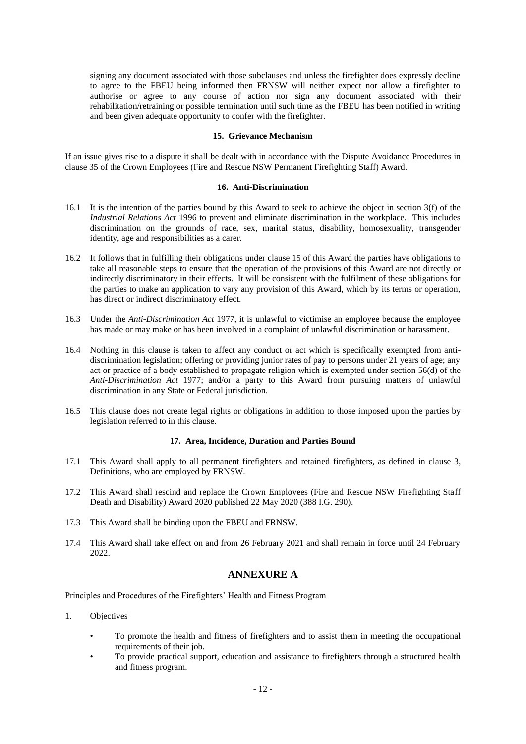signing any document associated with those subclauses and unless the firefighter does expressly decline to agree to the FBEU being informed then FRNSW will neither expect nor allow a firefighter to authorise or agree to any course of action nor sign any document associated with their rehabilitation/retraining or possible termination until such time as the FBEU has been notified in writing and been given adequate opportunity to confer with the firefighter.

#### **15. Grievance Mechanism**

If an issue gives rise to a dispute it shall be dealt with in accordance with the Dispute Avoidance Procedures in clause 35 of the Crown Employees (Fire and Rescue NSW Permanent Firefighting Staff) Award.

#### **16. Anti-Discrimination**

- 16.1 It is the intention of the parties bound by this Award to seek to achieve the object in section 3(f) of the *Industrial Relations Act* 1996 to prevent and eliminate discrimination in the workplace. This includes discrimination on the grounds of race, sex, marital status, disability, homosexuality, transgender identity, age and responsibilities as a carer.
- 16.2 It follows that in fulfilling their obligations under clause 15 of this Award the parties have obligations to take all reasonable steps to ensure that the operation of the provisions of this Award are not directly or indirectly discriminatory in their effects. It will be consistent with the fulfilment of these obligations for the parties to make an application to vary any provision of this Award, which by its terms or operation, has direct or indirect discriminatory effect.
- 16.3 Under the *Anti-Discrimination Act* 1977, it is unlawful to victimise an employee because the employee has made or may make or has been involved in a complaint of unlawful discrimination or harassment.
- 16.4 Nothing in this clause is taken to affect any conduct or act which is specifically exempted from antidiscrimination legislation; offering or providing junior rates of pay to persons under 21 years of age; any act or practice of a body established to propagate religion which is exempted under section 56(d) of the *Anti-Discrimination Act* 1977; and/or a party to this Award from pursuing matters of unlawful discrimination in any State or Federal jurisdiction.
- 16.5 This clause does not create legal rights or obligations in addition to those imposed upon the parties by legislation referred to in this clause.

#### **17. Area, Incidence, Duration and Parties Bound**

- 17.1 This Award shall apply to all permanent firefighters and retained firefighters, as defined in clause 3, Definitions, who are employed by FRNSW.
- 17.2 This Award shall rescind and replace the Crown Employees (Fire and Rescue NSW Firefighting Staff Death and Disability) Award 2020 published 22 May 2020 (388 I.G. 290).
- 17.3 This Award shall be binding upon the FBEU and FRNSW.
- 17.4 This Award shall take effect on and from 26 February 2021 and shall remain in force until 24 February 2022.

## **ANNEXURE A**

Principles and Procedures of the Firefighters' Health and Fitness Program

- 1. Objectives
	- To promote the health and fitness of firefighters and to assist them in meeting the occupational requirements of their job.
	- To provide practical support, education and assistance to firefighters through a structured health and fitness program.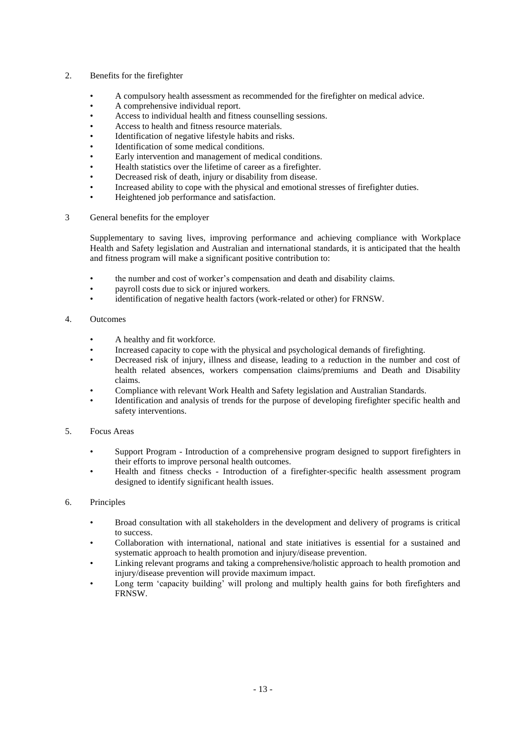- 2. Benefits for the firefighter
	- A compulsory health assessment as recommended for the firefighter on medical advice.
	- A comprehensive individual report.
	- Access to individual health and fitness counselling sessions.
	- Access to health and fitness resource materials.
	- Identification of negative lifestyle habits and risks.
	- Identification of some medical conditions.
	- Early intervention and management of medical conditions.
	- Health statistics over the lifetime of career as a firefighter.
	- Decreased risk of death, injury or disability from disease.
	- Increased ability to cope with the physical and emotional stresses of firefighter duties.
	- Heightened job performance and satisfaction.
- 3 General benefits for the employer

Supplementary to saving lives, improving performance and achieving compliance with Workplace Health and Safety legislation and Australian and international standards, it is anticipated that the health and fitness program will make a significant positive contribution to:

- the number and cost of worker's compensation and death and disability claims.
- payroll costs due to sick or injured workers.
- identification of negative health factors (work-related or other) for FRNSW.
- 4. Outcomes
	- A healthy and fit workforce.
	- Increased capacity to cope with the physical and psychological demands of firefighting.
	- Decreased risk of injury, illness and disease, leading to a reduction in the number and cost of health related absences, workers compensation claims/premiums and Death and Disability claims.
	- Compliance with relevant Work Health and Safety legislation and Australian Standards.
	- Identification and analysis of trends for the purpose of developing firefighter specific health and safety interventions.

## 5. Focus Areas

- Support Program Introduction of a comprehensive program designed to support firefighters in their efforts to improve personal health outcomes.
- Health and fitness checks Introduction of a firefighter-specific health assessment program designed to identify significant health issues.

# 6. Principles

- Broad consultation with all stakeholders in the development and delivery of programs is critical to success.
- Collaboration with international, national and state initiatives is essential for a sustained and systematic approach to health promotion and injury/disease prevention.
- Linking relevant programs and taking a comprehensive/holistic approach to health promotion and injury/disease prevention will provide maximum impact.
- Long term 'capacity building' will prolong and multiply health gains for both firefighters and FRNSW.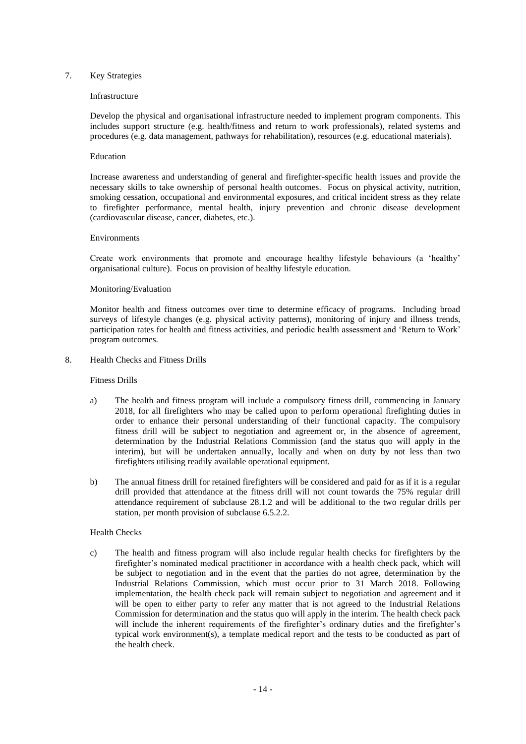### 7. Key Strategies

#### Infrastructure

Develop the physical and organisational infrastructure needed to implement program components. This includes support structure (e.g. health/fitness and return to work professionals), related systems and procedures (e.g. data management, pathways for rehabilitation), resources (e.g. educational materials).

#### Education

Increase awareness and understanding of general and firefighter-specific health issues and provide the necessary skills to take ownership of personal health outcomes. Focus on physical activity, nutrition, smoking cessation, occupational and environmental exposures, and critical incident stress as they relate to firefighter performance, mental health, injury prevention and chronic disease development (cardiovascular disease, cancer, diabetes, etc.).

#### Environments

Create work environments that promote and encourage healthy lifestyle behaviours (a 'healthy' organisational culture). Focus on provision of healthy lifestyle education.

#### Monitoring/Evaluation

Monitor health and fitness outcomes over time to determine efficacy of programs. Including broad surveys of lifestyle changes (e.g. physical activity patterns), monitoring of injury and illness trends, participation rates for health and fitness activities, and periodic health assessment and 'Return to Work' program outcomes.

8. Health Checks and Fitness Drills

#### Fitness Drills

- a) The health and fitness program will include a compulsory fitness drill, commencing in January 2018, for all firefighters who may be called upon to perform operational firefighting duties in order to enhance their personal understanding of their functional capacity. The compulsory fitness drill will be subject to negotiation and agreement or, in the absence of agreement, determination by the Industrial Relations Commission (and the status quo will apply in the interim), but will be undertaken annually, locally and when on duty by not less than two firefighters utilising readily available operational equipment.
- b) The annual fitness drill for retained firefighters will be considered and paid for as if it is a regular drill provided that attendance at the fitness drill will not count towards the 75% regular drill attendance requirement of subclause 28.1.2 and will be additional to the two regular drills per station, per month provision of subclause 6.5.2.2.

#### Health Checks

c) The health and fitness program will also include regular health checks for firefighters by the firefighter's nominated medical practitioner in accordance with a health check pack, which will be subject to negotiation and in the event that the parties do not agree, determination by the Industrial Relations Commission, which must occur prior to 31 March 2018. Following implementation, the health check pack will remain subject to negotiation and agreement and it will be open to either party to refer any matter that is not agreed to the Industrial Relations Commission for determination and the status quo will apply in the interim. The health check pack will include the inherent requirements of the firefighter's ordinary duties and the firefighter's typical work environment(s), a template medical report and the tests to be conducted as part of the health check.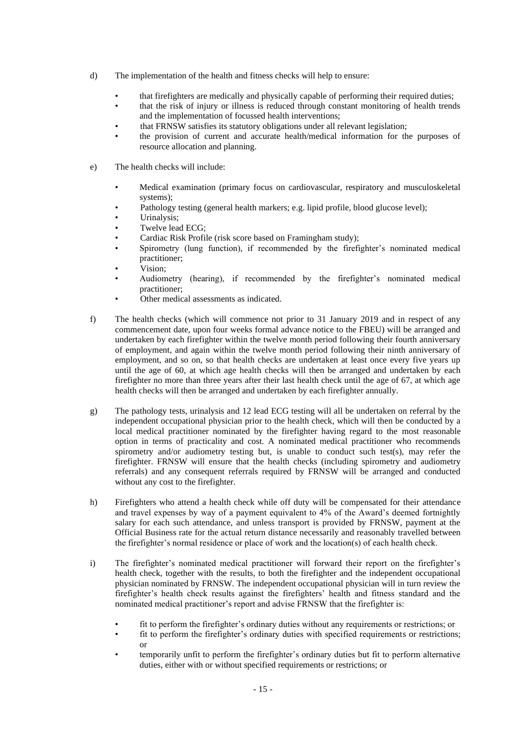- d) The implementation of the health and fitness checks will help to ensure:
	- that firefighters are medically and physically capable of performing their required duties;
	- that the risk of injury or illness is reduced through constant monitoring of health trends and the implementation of focussed health interventions;
	- that FRNSW satisfies its statutory obligations under all relevant legislation;
	- the provision of current and accurate health/medical information for the purposes of resource allocation and planning.
- e) The health checks will include:
	- Medical examination (primary focus on cardiovascular, respiratory and musculoskeletal systems);
	- Pathology testing (general health markers; e.g. lipid profile, blood glucose level);
	- Urinalysis;
	- Twelve lead ECG;
	- Cardiac Risk Profile (risk score based on Framingham study);
	- Spirometry (lung function), if recommended by the firefighter's nominated medical practitioner;
	- Vision;
	- Audiometry (hearing), if recommended by the firefighter's nominated medical practitioner;
	- Other medical assessments as indicated.
- f) The health checks (which will commence not prior to 31 January 2019 and in respect of any commencement date, upon four weeks formal advance notice to the FBEU) will be arranged and undertaken by each firefighter within the twelve month period following their fourth anniversary of employment, and again within the twelve month period following their ninth anniversary of employment, and so on, so that health checks are undertaken at least once every five years up until the age of 60, at which age health checks will then be arranged and undertaken by each firefighter no more than three years after their last health check until the age of 67, at which age health checks will then be arranged and undertaken by each firefighter annually.
- g) The pathology tests, urinalysis and 12 lead ECG testing will all be undertaken on referral by the independent occupational physician prior to the health check, which will then be conducted by a local medical practitioner nominated by the firefighter having regard to the most reasonable option in terms of practicality and cost. A nominated medical practitioner who recommends spirometry and/or audiometry testing but, is unable to conduct such test(s), may refer the firefighter. FRNSW will ensure that the health checks (including spirometry and audiometry referrals) and any consequent referrals required by FRNSW will be arranged and conducted without any cost to the firefighter.
- h) Firefighters who attend a health check while off duty will be compensated for their attendance and travel expenses by way of a payment equivalent to 4% of the Award's deemed fortnightly salary for each such attendance, and unless transport is provided by FRNSW, payment at the Official Business rate for the actual return distance necessarily and reasonably travelled between the firefighter's normal residence or place of work and the location(s) of each health check.
- i) The firefighter's nominated medical practitioner will forward their report on the firefighter's health check, together with the results, to both the firefighter and the independent occupational physician nominated by FRNSW. The independent occupational physician will in turn review the firefighter's health check results against the firefighters' health and fitness standard and the nominated medical practitioner's report and advise FRNSW that the firefighter is:
	- fit to perform the firefighter's ordinary duties without any requirements or restrictions; or
	- fit to perform the firefighter's ordinary duties with specified requirements or restrictions; or
	- temporarily unfit to perform the firefighter's ordinary duties but fit to perform alternative duties, either with or without specified requirements or restrictions; or